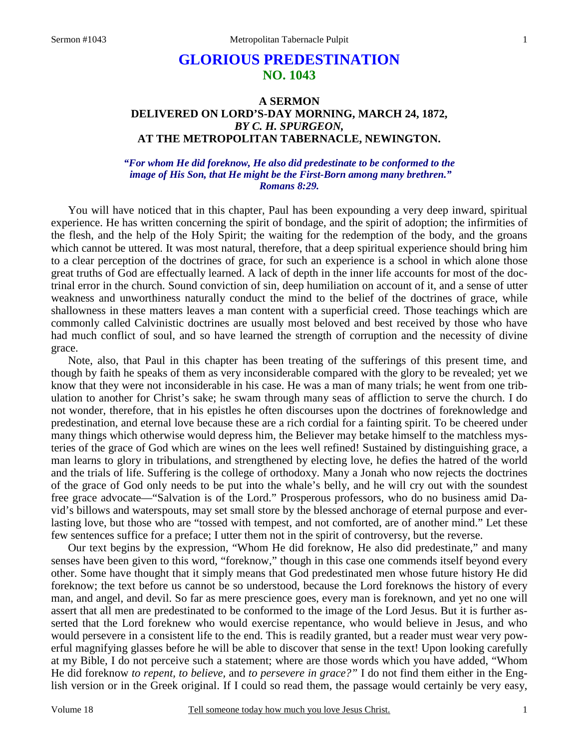# **GLORIOUS PREDESTINATION NO. 1043**

### **A SERMON DELIVERED ON LORD'S-DAY MORNING, MARCH 24, 1872,**  *BY C. H. SPURGEON,*  **AT THE METROPOLITAN TABERNACLE, NEWINGTON.**

### *"For whom He did foreknow, He also did predestinate to be conformed to the image of His Son, that He might be the First-Born among many brethren." Romans 8:29.*

You will have noticed that in this chapter, Paul has been expounding a very deep inward, spiritual experience. He has written concerning the spirit of bondage, and the spirit of adoption; the infirmities of the flesh, and the help of the Holy Spirit; the waiting for the redemption of the body, and the groans which cannot be uttered. It was most natural, therefore, that a deep spiritual experience should bring him to a clear perception of the doctrines of grace, for such an experience is a school in which alone those great truths of God are effectually learned. A lack of depth in the inner life accounts for most of the doctrinal error in the church. Sound conviction of sin, deep humiliation on account of it, and a sense of utter weakness and unworthiness naturally conduct the mind to the belief of the doctrines of grace, while shallowness in these matters leaves a man content with a superficial creed. Those teachings which are commonly called Calvinistic doctrines are usually most beloved and best received by those who have had much conflict of soul, and so have learned the strength of corruption and the necessity of divine grace.

Note, also, that Paul in this chapter has been treating of the sufferings of this present time, and though by faith he speaks of them as very inconsiderable compared with the glory to be revealed; yet we know that they were not inconsiderable in his case. He was a man of many trials; he went from one tribulation to another for Christ's sake; he swam through many seas of affliction to serve the church. I do not wonder, therefore, that in his epistles he often discourses upon the doctrines of foreknowledge and predestination, and eternal love because these are a rich cordial for a fainting spirit. To be cheered under many things which otherwise would depress him, the Believer may betake himself to the matchless mysteries of the grace of God which are wines on the lees well refined! Sustained by distinguishing grace, a man learns to glory in tribulations, and strengthened by electing love, he defies the hatred of the world and the trials of life. Suffering is the college of orthodoxy. Many a Jonah who now rejects the doctrines of the grace of God only needs to be put into the whale's belly, and he will cry out with the soundest free grace advocate—"Salvation is of the Lord." Prosperous professors, who do no business amid David's billows and waterspouts, may set small store by the blessed anchorage of eternal purpose and everlasting love, but those who are "tossed with tempest, and not comforted, are of another mind." Let these few sentences suffice for a preface; I utter them not in the spirit of controversy, but the reverse.

Our text begins by the expression, "Whom He did foreknow, He also did predestinate," and many senses have been given to this word, "foreknow," though in this case one commends itself beyond every other. Some have thought that it simply means that God predestinated men whose future history He did foreknow; the text before us cannot be so understood, because the Lord foreknows the history of every man, and angel, and devil. So far as mere prescience goes, every man is foreknown, and yet no one will assert that all men are predestinated to be conformed to the image of the Lord Jesus. But it is further asserted that the Lord foreknew who would exercise repentance, who would believe in Jesus, and who would persevere in a consistent life to the end. This is readily granted, but a reader must wear very powerful magnifying glasses before he will be able to discover that sense in the text! Upon looking carefully at my Bible, I do not perceive such a statement; where are those words which you have added, "Whom He did foreknow *to repent, to believe,* and *to persevere in grace?"* I do not find them either in the English version or in the Greek original. If I could so read them, the passage would certainly be very easy,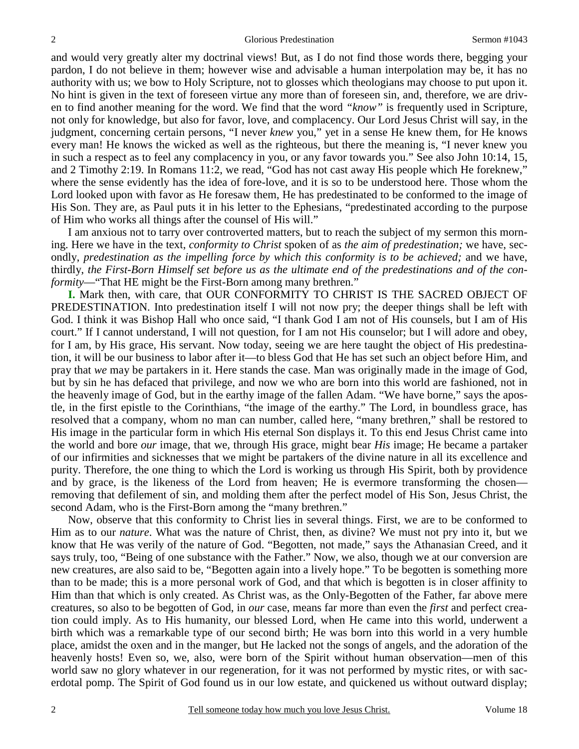and would very greatly alter my doctrinal views! But, as I do not find those words there, begging your pardon, I do not believe in them; however wise and advisable a human interpolation may be, it has no authority with us; we bow to Holy Scripture, not to glosses which theologians may choose to put upon it. No hint is given in the text of foreseen virtue any more than of foreseen sin, and, therefore, we are driven to find another meaning for the word. We find that the word *"know"* is frequently used in Scripture, not only for knowledge, but also for favor, love, and complacency. Our Lord Jesus Christ will say, in the judgment, concerning certain persons, "I never *knew* you," yet in a sense He knew them, for He knows every man! He knows the wicked as well as the righteous, but there the meaning is, "I never knew you in such a respect as to feel any complacency in you, or any favor towards you." See also John 10:14, 15, and 2 Timothy 2:19. In Romans 11:2, we read, "God has not cast away His people which He foreknew," where the sense evidently has the idea of fore-love, and it is so to be understood here. Those whom the Lord looked upon with favor as He foresaw them, He has predestinated to be conformed to the image of His Son. They are, as Paul puts it in his letter to the Ephesians, "predestinated according to the purpose of Him who works all things after the counsel of His will."

I am anxious not to tarry over controverted matters, but to reach the subject of my sermon this morning. Here we have in the text, *conformity to Christ* spoken of as *the aim of predestination;* we have, secondly, *predestination as the impelling force by which this conformity is to be achieved;* and we have, thirdly, *the First-Born Himself set before us as the ultimate end of the predestinations and of the conformity*—"That HE might be the First-Born among many brethren."

**I.** Mark then, with care, that OUR CONFORMITY TO CHRIST IS THE SACRED OBJECT OF PREDESTINATION. Into predestination itself I will not now pry; the deeper things shall be left with God. I think it was Bishop Hall who once said, "I thank God I am not of His counsels, but I am of His court." If I cannot understand, I will not question, for I am not His counselor; but I will adore and obey, for I am, by His grace, His servant. Now today, seeing we are here taught the object of His predestination, it will be our business to labor after it—to bless God that He has set such an object before Him, and pray that *we* may be partakers in it. Here stands the case. Man was originally made in the image of God, but by sin he has defaced that privilege, and now we who are born into this world are fashioned, not in the heavenly image of God, but in the earthy image of the fallen Adam. "We have borne," says the apostle, in the first epistle to the Corinthians, "the image of the earthy." The Lord, in boundless grace, has resolved that a company, whom no man can number, called here, "many brethren," shall be restored to His image in the particular form in which His eternal Son displays it. To this end Jesus Christ came into the world and bore *our* image, that we, through His grace, might bear *His* image; He became a partaker of our infirmities and sicknesses that we might be partakers of the divine nature in all its excellence and purity. Therefore, the one thing to which the Lord is working us through His Spirit, both by providence and by grace, is the likeness of the Lord from heaven; He is evermore transforming the chosen removing that defilement of sin, and molding them after the perfect model of His Son, Jesus Christ, the second Adam, who is the First-Born among the "many brethren."

Now, observe that this conformity to Christ lies in several things. First, we are to be conformed to Him as to our *nature*. What was the nature of Christ, then, as divine? We must not pry into it, but we know that He was verily of the nature of God. "Begotten, not made," says the Athanasian Creed, and it says truly, too, "Being of one substance with the Father." Now, we also, though we at our conversion are new creatures, are also said to be, "Begotten again into a lively hope." To be begotten is something more than to be made; this is a more personal work of God, and that which is begotten is in closer affinity to Him than that which is only created. As Christ was, as the Only-Begotten of the Father, far above mere creatures, so also to be begotten of God, in *our* case, means far more than even the *first* and perfect creation could imply. As to His humanity, our blessed Lord, when He came into this world, underwent a birth which was a remarkable type of our second birth; He was born into this world in a very humble place, amidst the oxen and in the manger, but He lacked not the songs of angels, and the adoration of the heavenly hosts! Even so, we, also, were born of the Spirit without human observation—men of this world saw no glory whatever in our regeneration, for it was not performed by mystic rites, or with sacerdotal pomp. The Spirit of God found us in our low estate, and quickened us without outward display;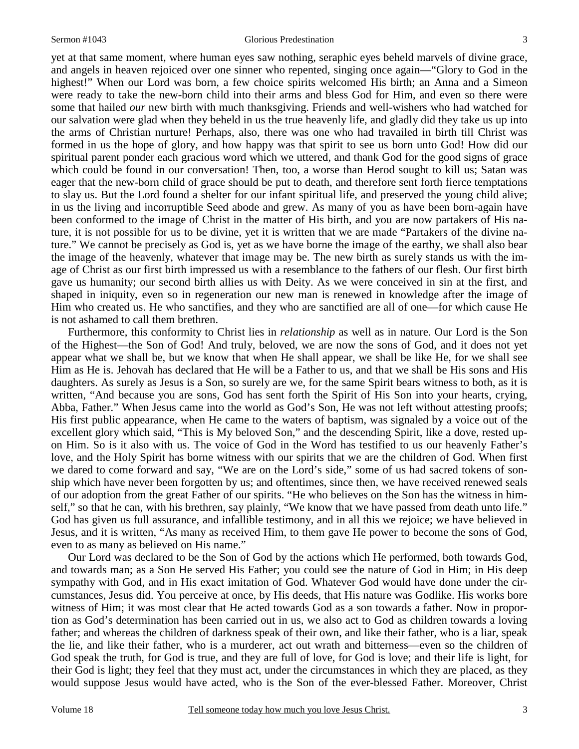#### Sermon #1043 Glorious Predestination

yet at that same moment, where human eyes saw nothing, seraphic eyes beheld marvels of divine grace, and angels in heaven rejoiced over one sinner who repented, singing once again—"Glory to God in the highest!" When our Lord was born, a few choice spirits welcomed His birth; an Anna and a Simeon were ready to take the new-born child into their arms and bless God for Him, and even so there were some that hailed *our* new birth with much thanksgiving. Friends and well-wishers who had watched for our salvation were glad when they beheld in us the true heavenly life, and gladly did they take us up into the arms of Christian nurture! Perhaps, also, there was one who had travailed in birth till Christ was formed in us the hope of glory, and how happy was that spirit to see us born unto God! How did our spiritual parent ponder each gracious word which we uttered, and thank God for the good signs of grace which could be found in our conversation! Then, too, a worse than Herod sought to kill us; Satan was eager that the new-born child of grace should be put to death, and therefore sent forth fierce temptations to slay us. But the Lord found a shelter for our infant spiritual life, and preserved the young child alive; in us the living and incorruptible Seed abode and grew. As many of you as have been born-again have been conformed to the image of Christ in the matter of His birth, and you are now partakers of His nature, it is not possible for us to be divine, yet it is written that we are made "Partakers of the divine nature." We cannot be precisely as God is, yet as we have borne the image of the earthy, we shall also bear the image of the heavenly, whatever that image may be. The new birth as surely stands us with the image of Christ as our first birth impressed us with a resemblance to the fathers of our flesh. Our first birth gave us humanity; our second birth allies us with Deity. As we were conceived in sin at the first, and shaped in iniquity, even so in regeneration our new man is renewed in knowledge after the image of Him who created us. He who sanctifies, and they who are sanctified are all of one—for which cause He is not ashamed to call them brethren.

Furthermore, this conformity to Christ lies in *relationship* as well as in nature. Our Lord is the Son of the Highest—the Son of God! And truly, beloved, we are now the sons of God, and it does not yet appear what we shall be, but we know that when He shall appear, we shall be like He, for we shall see Him as He is. Jehovah has declared that He will be a Father to us, and that we shall be His sons and His daughters. As surely as Jesus is a Son, so surely are we, for the same Spirit bears witness to both, as it is written, "And because you are sons, God has sent forth the Spirit of His Son into your hearts, crying, Abba, Father." When Jesus came into the world as God's Son, He was not left without attesting proofs; His first public appearance, when He came to the waters of baptism, was signaled by a voice out of the excellent glory which said, "This is My beloved Son," and the descending Spirit, like a dove, rested upon Him. So is it also with us. The voice of God in the Word has testified to us our heavenly Father's love, and the Holy Spirit has borne witness with our spirits that we are the children of God. When first we dared to come forward and say, "We are on the Lord's side," some of us had sacred tokens of sonship which have never been forgotten by us; and oftentimes, since then, we have received renewed seals of our adoption from the great Father of our spirits. "He who believes on the Son has the witness in himself," so that he can, with his brethren, say plainly, "We know that we have passed from death unto life." God has given us full assurance, and infallible testimony, and in all this we rejoice; we have believed in Jesus, and it is written, "As many as received Him, to them gave He power to become the sons of God, even to as many as believed on His name."

Our Lord was declared to be the Son of God by the actions which He performed, both towards God, and towards man; as a Son He served His Father; you could see the nature of God in Him; in His deep sympathy with God, and in His exact imitation of God. Whatever God would have done under the circumstances, Jesus did. You perceive at once, by His deeds, that His nature was Godlike. His works bore witness of Him; it was most clear that He acted towards God as a son towards a father. Now in proportion as God's determination has been carried out in us, we also act to God as children towards a loving father; and whereas the children of darkness speak of their own, and like their father, who is a liar, speak the lie, and like their father, who is a murderer, act out wrath and bitterness—even so the children of God speak the truth, for God is true, and they are full of love, for God is love; and their life is light, for their God is light; they feel that they must act, under the circumstances in which they are placed, as they would suppose Jesus would have acted, who is the Son of the ever-blessed Father. Moreover, Christ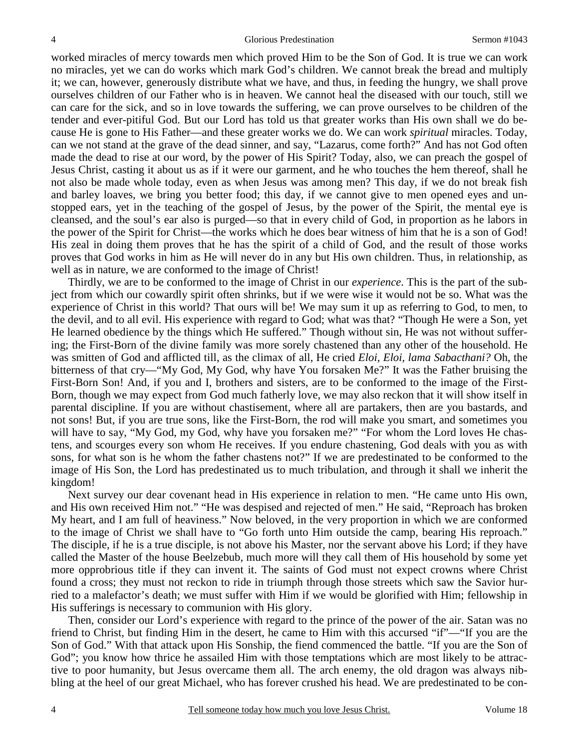worked miracles of mercy towards men which proved Him to be the Son of God. It is true we can work no miracles, yet we can do works which mark God's children. We cannot break the bread and multiply it; we can, however, generously distribute what we have, and thus, in feeding the hungry, we shall prove ourselves children of our Father who is in heaven. We cannot heal the diseased with our touch, still we can care for the sick, and so in love towards the suffering, we can prove ourselves to be children of the tender and ever-pitiful God. But our Lord has told us that greater works than His own shall we do because He is gone to His Father—and these greater works we do. We can work *spiritual* miracles. Today, can we not stand at the grave of the dead sinner, and say, "Lazarus, come forth?" And has not God often made the dead to rise at our word, by the power of His Spirit? Today, also, we can preach the gospel of Jesus Christ, casting it about us as if it were our garment, and he who touches the hem thereof, shall he not also be made whole today, even as when Jesus was among men? This day, if we do not break fish and barley loaves, we bring you better food; this day, if we cannot give to men opened eyes and unstopped ears, yet in the teaching of the gospel of Jesus, by the power of the Spirit, the mental eye is cleansed, and the soul's ear also is purged—so that in every child of God, in proportion as he labors in the power of the Spirit for Christ—the works which he does bear witness of him that he is a son of God! His zeal in doing them proves that he has the spirit of a child of God, and the result of those works proves that God works in him as He will never do in any but His own children. Thus, in relationship, as well as in nature, we are conformed to the image of Christ!

Thirdly, we are to be conformed to the image of Christ in our *experience*. This is the part of the subject from which our cowardly spirit often shrinks, but if we were wise it would not be so. What was the experience of Christ in this world? That ours will be! We may sum it up as referring to God, to men, to the devil, and to all evil. His experience with regard to God; what was that? "Though He were a Son, yet He learned obedience by the things which He suffered." Though without sin, He was not without suffering; the First-Born of the divine family was more sorely chastened than any other of the household. He was smitten of God and afflicted till, as the climax of all, He cried *Eloi, Eloi, lama Sabacthani?* Oh, the bitterness of that cry—"My God, My God, why have You forsaken Me?" It was the Father bruising the First-Born Son! And, if you and I, brothers and sisters, are to be conformed to the image of the First-Born, though we may expect from God much fatherly love, we may also reckon that it will show itself in parental discipline. If you are without chastisement, where all are partakers, then are you bastards, and not sons! But, if you are true sons, like the First-Born, the rod will make you smart, and sometimes you will have to say, "My God, my God, why have you for saken me?" "For whom the Lord loves He chastens, and scourges every son whom He receives. If you endure chastening, God deals with you as with sons, for what son is he whom the father chastens not?" If we are predestinated to be conformed to the image of His Son, the Lord has predestinated us to much tribulation, and through it shall we inherit the kingdom!

Next survey our dear covenant head in His experience in relation to men. "He came unto His own, and His own received Him not." "He was despised and rejected of men." He said, "Reproach has broken My heart, and I am full of heaviness." Now beloved, in the very proportion in which we are conformed to the image of Christ we shall have to "Go forth unto Him outside the camp, bearing His reproach." The disciple, if he is a true disciple, is not above his Master, nor the servant above his Lord; if they have called the Master of the house Beelzebub, much more will they call them of His household by some yet more opprobrious title if they can invent it. The saints of God must not expect crowns where Christ found a cross; they must not reckon to ride in triumph through those streets which saw the Savior hurried to a malefactor's death; we must suffer with Him if we would be glorified with Him; fellowship in His sufferings is necessary to communion with His glory.

Then, consider our Lord's experience with regard to the prince of the power of the air. Satan was no friend to Christ, but finding Him in the desert, he came to Him with this accursed "if"—"If you are the Son of God." With that attack upon His Sonship, the fiend commenced the battle. "If you are the Son of God"; you know how thrice he assailed Him with those temptations which are most likely to be attractive to poor humanity, but Jesus overcame them all. The arch enemy, the old dragon was always nibbling at the heel of our great Michael, who has forever crushed his head. We are predestinated to be con-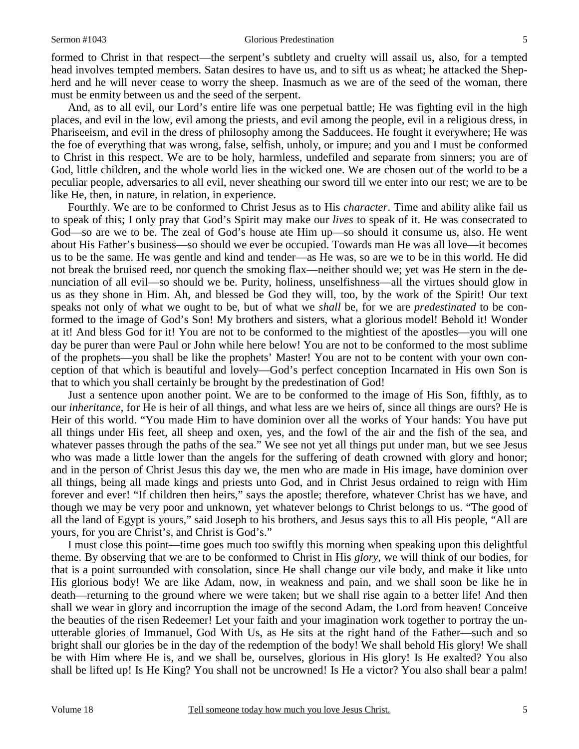#### Sermon #1043 Glorious Predestination

formed to Christ in that respect—the serpent's subtlety and cruelty will assail us, also, for a tempted head involves tempted members. Satan desires to have us, and to sift us as wheat; he attacked the Shepherd and he will never cease to worry the sheep. Inasmuch as we are of the seed of the woman, there must be enmity between us and the seed of the serpent.

And, as to all evil, our Lord's entire life was one perpetual battle; He was fighting evil in the high places, and evil in the low, evil among the priests, and evil among the people, evil in a religious dress, in Phariseeism, and evil in the dress of philosophy among the Sadducees. He fought it everywhere; He was the foe of everything that was wrong, false, selfish, unholy, or impure; and you and I must be conformed to Christ in this respect. We are to be holy, harmless, undefiled and separate from sinners; you are of God, little children, and the whole world lies in the wicked one. We are chosen out of the world to be a peculiar people, adversaries to all evil, never sheathing our sword till we enter into our rest; we are to be like He, then, in nature, in relation, in experience.

Fourthly. We are to be conformed to Christ Jesus as to His *character*. Time and ability alike fail us to speak of this; I only pray that God's Spirit may make our *lives* to speak of it. He was consecrated to God—so are we to be. The zeal of God's house ate Him up—so should it consume us, also. He went about His Father's business—so should we ever be occupied. Towards man He was all love—it becomes us to be the same. He was gentle and kind and tender—as He was, so are we to be in this world. He did not break the bruised reed, nor quench the smoking flax—neither should we; yet was He stern in the denunciation of all evil—so should we be. Purity, holiness, unselfishness—all the virtues should glow in us as they shone in Him. Ah, and blessed be God they will, too, by the work of the Spirit! Our text speaks not only of what we ought to be, but of what we *shall* be, for we are *predestinated* to be conformed to the image of God's Son! My brothers and sisters, what a glorious model! Behold it! Wonder at it! And bless God for it! You are not to be conformed to the mightiest of the apostles—you will one day be purer than were Paul or John while here below! You are not to be conformed to the most sublime of the prophets—you shall be like the prophets' Master! You are not to be content with your own conception of that which is beautiful and lovely—God's perfect conception Incarnated in His own Son is that to which you shall certainly be brought by the predestination of God!

Just a sentence upon another point. We are to be conformed to the image of His Son, fifthly, as to our *inheritance*, for He is heir of all things, and what less are we heirs of, since all things are ours? He is Heir of this world. "You made Him to have dominion over all the works of Your hands: You have put all things under His feet, all sheep and oxen, yes, and the fowl of the air and the fish of the sea, and whatever passes through the paths of the sea." We see not yet all things put under man, but we see Jesus who was made a little lower than the angels for the suffering of death crowned with glory and honor; and in the person of Christ Jesus this day we, the men who are made in His image, have dominion over all things, being all made kings and priests unto God, and in Christ Jesus ordained to reign with Him forever and ever! "If children then heirs," says the apostle; therefore, whatever Christ has we have, and though we may be very poor and unknown, yet whatever belongs to Christ belongs to us. "The good of all the land of Egypt is yours," said Joseph to his brothers, and Jesus says this to all His people, "All are yours, for you are Christ's, and Christ is God's."

I must close this point—time goes much too swiftly this morning when speaking upon this delightful theme. By observing that we are to be conformed to Christ in His *glory,* we will think of our bodies, for that is a point surrounded with consolation, since He shall change our vile body, and make it like unto His glorious body! We are like Adam, now, in weakness and pain, and we shall soon be like he in death—returning to the ground where we were taken; but we shall rise again to a better life! And then shall we wear in glory and incorruption the image of the second Adam, the Lord from heaven! Conceive the beauties of the risen Redeemer! Let your faith and your imagination work together to portray the unutterable glories of Immanuel, God With Us, as He sits at the right hand of the Father—such and so bright shall our glories be in the day of the redemption of the body! We shall behold His glory! We shall be with Him where He is, and we shall be, ourselves, glorious in His glory! Is He exalted? You also shall be lifted up! Is He King? You shall not be uncrowned! Is He a victor? You also shall bear a palm!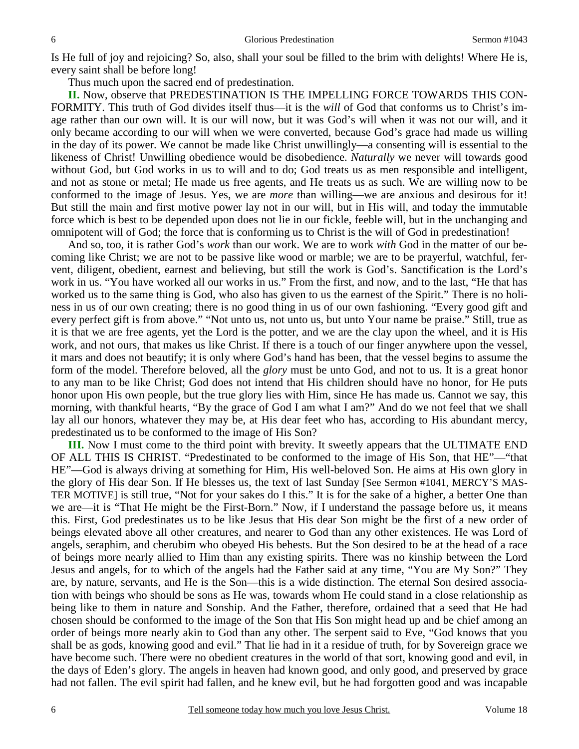Is He full of joy and rejoicing? So, also, shall your soul be filled to the brim with delights! Where He is, every saint shall be before long!

Thus much upon the sacred end of predestination.

**II.** Now, observe that PREDESTINATION IS THE IMPELLING FORCE TOWARDS THIS CON-FORMITY. This truth of God divides itself thus—it is the *will* of God that conforms us to Christ's image rather than our own will. It is our will now, but it was God's will when it was not our will, and it only became according to our will when we were converted, because God's grace had made us willing in the day of its power. We cannot be made like Christ unwillingly—a consenting will is essential to the likeness of Christ! Unwilling obedience would be disobedience. *Naturally* we never will towards good without God, but God works in us to will and to do; God treats us as men responsible and intelligent, and not as stone or metal; He made us free agents, and He treats us as such. We are willing now to be conformed to the image of Jesus. Yes, we are *more* than willing—we are anxious and desirous for it! But still the main and first motive power lay not in our will, but in His will, and today the immutable force which is best to be depended upon does not lie in our fickle, feeble will, but in the unchanging and omnipotent will of God; the force that is conforming us to Christ is the will of God in predestination!

And so, too, it is rather God's *work* than our work. We are to work *with* God in the matter of our becoming like Christ; we are not to be passive like wood or marble; we are to be prayerful, watchful, fervent, diligent, obedient, earnest and believing, but still the work is God's. Sanctification is the Lord's work in us. "You have worked all our works in us." From the first, and now, and to the last, "He that has worked us to the same thing is God, who also has given to us the earnest of the Spirit." There is no holiness in us of our own creating; there is no good thing in us of our own fashioning. "Every good gift and every perfect gift is from above." "Not unto us, not unto us, but unto Your name be praise." Still, true as it is that we are free agents, yet the Lord is the potter, and we are the clay upon the wheel, and it is His work, and not ours, that makes us like Christ. If there is a touch of our finger anywhere upon the vessel, it mars and does not beautify; it is only where God's hand has been, that the vessel begins to assume the form of the model. Therefore beloved, all the *glory* must be unto God, and not to us. It is a great honor to any man to be like Christ; God does not intend that His children should have no honor, for He puts honor upon His own people, but the true glory lies with Him, since He has made us. Cannot we say, this morning, with thankful hearts, "By the grace of God I am what I am?" And do we not feel that we shall lay all our honors, whatever they may be, at His dear feet who has, according to His abundant mercy, predestinated us to be conformed to the image of His Son?

**III.** Now I must come to the third point with brevity. It sweetly appears that the ULTIMATE END OF ALL THIS IS CHRIST. "Predestinated to be conformed to the image of His Son, that HE"—"that HE"—God is always driving at something for Him, His well-beloved Son. He aims at His own glory in the glory of His dear Son. If He blesses us, the text of last Sunday [See Sermon #1041, MERCY'S MAS-TER MOTIVE] is still true, "Not for your sakes do I this." It is for the sake of a higher, a better One than we are—it is "That He might be the First-Born." Now, if I understand the passage before us, it means this. First, God predestinates us to be like Jesus that His dear Son might be the first of a new order of beings elevated above all other creatures, and nearer to God than any other existences. He was Lord of angels, seraphim, and cherubim who obeyed His behests. But the Son desired to be at the head of a race of beings more nearly allied to Him than any existing spirits. There was no kinship between the Lord Jesus and angels, for to which of the angels had the Father said at any time, "You are My Son?" They are, by nature, servants, and He is the Son—this is a wide distinction. The eternal Son desired association with beings who should be sons as He was, towards whom He could stand in a close relationship as being like to them in nature and Sonship. And the Father, therefore, ordained that a seed that He had chosen should be conformed to the image of the Son that His Son might head up and be chief among an order of beings more nearly akin to God than any other. The serpent said to Eve, "God knows that you shall be as gods, knowing good and evil." That lie had in it a residue of truth, for by Sovereign grace we have become such. There were no obedient creatures in the world of that sort, knowing good and evil, in the days of Eden's glory. The angels in heaven had known good, and only good, and preserved by grace had not fallen. The evil spirit had fallen, and he knew evil, but he had forgotten good and was incapable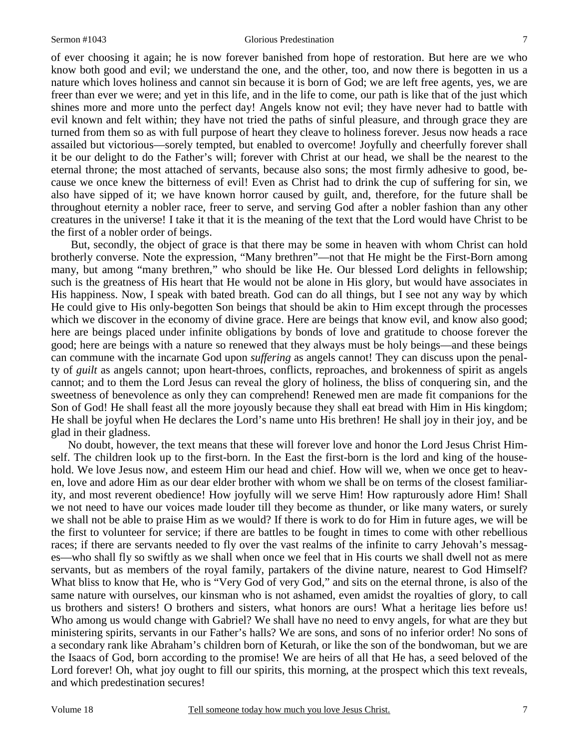#### Sermon #1043 Glorious Predestination

of ever choosing it again; he is now forever banished from hope of restoration. But here are we who know both good and evil; we understand the one, and the other, too, and now there is begotten in us a nature which loves holiness and cannot sin because it is born of God; we are left free agents, yes, we are freer than ever we were; and yet in this life, and in the life to come, our path is like that of the just which shines more and more unto the perfect day! Angels know not evil; they have never had to battle with evil known and felt within; they have not tried the paths of sinful pleasure, and through grace they are turned from them so as with full purpose of heart they cleave to holiness forever. Jesus now heads a race assailed but victorious—sorely tempted, but enabled to overcome! Joyfully and cheerfully forever shall it be our delight to do the Father's will; forever with Christ at our head, we shall be the nearest to the eternal throne; the most attached of servants, because also sons; the most firmly adhesive to good, because we once knew the bitterness of evil! Even as Christ had to drink the cup of suffering for sin, we also have sipped of it; we have known horror caused by guilt, and, therefore, for the future shall be throughout eternity a nobler race, freer to serve, and serving God after a nobler fashion than any other creatures in the universe! I take it that it is the meaning of the text that the Lord would have Christ to be the first of a nobler order of beings.

 But, secondly, the object of grace is that there may be some in heaven with whom Christ can hold brotherly converse. Note the expression, "Many brethren"—not that He might be the First-Born among many, but among "many brethren," who should be like He. Our blessed Lord delights in fellowship; such is the greatness of His heart that He would not be alone in His glory, but would have associates in His happiness. Now, I speak with bated breath. God can do all things, but I see not any way by which He could give to His only-begotten Son beings that should be akin to Him except through the processes which we discover in the economy of divine grace. Here are beings that know evil, and know also good; here are beings placed under infinite obligations by bonds of love and gratitude to choose forever the good; here are beings with a nature so renewed that they always must be holy beings—and these beings can commune with the incarnate God upon *suffering* as angels cannot! They can discuss upon the penalty of *guilt* as angels cannot; upon heart-throes, conflicts, reproaches, and brokenness of spirit as angels cannot; and to them the Lord Jesus can reveal the glory of holiness, the bliss of conquering sin, and the sweetness of benevolence as only they can comprehend! Renewed men are made fit companions for the Son of God! He shall feast all the more joyously because they shall eat bread with Him in His kingdom; He shall be joyful when He declares the Lord's name unto His brethren! He shall joy in their joy, and be glad in their gladness.

No doubt, however, the text means that these will forever love and honor the Lord Jesus Christ Himself. The children look up to the first-born. In the East the first-born is the lord and king of the household. We love Jesus now, and esteem Him our head and chief. How will we, when we once get to heaven, love and adore Him as our dear elder brother with whom we shall be on terms of the closest familiarity, and most reverent obedience! How joyfully will we serve Him! How rapturously adore Him! Shall we not need to have our voices made louder till they become as thunder, or like many waters, or surely we shall not be able to praise Him as we would? If there is work to do for Him in future ages, we will be the first to volunteer for service; if there are battles to be fought in times to come with other rebellious races; if there are servants needed to fly over the vast realms of the infinite to carry Jehovah's messages—who shall fly so swiftly as we shall when once we feel that in His courts we shall dwell not as mere servants, but as members of the royal family, partakers of the divine nature, nearest to God Himself? What bliss to know that He, who is "Very God of very God," and sits on the eternal throne, is also of the same nature with ourselves, our kinsman who is not ashamed, even amidst the royalties of glory, to call us brothers and sisters! O brothers and sisters, what honors are ours! What a heritage lies before us! Who among us would change with Gabriel? We shall have no need to envy angels, for what are they but ministering spirits, servants in our Father's halls? We are sons, and sons of no inferior order! No sons of a secondary rank like Abraham's children born of Keturah, or like the son of the bondwoman, but we are the Isaacs of God, born according to the promise! We are heirs of all that He has, a seed beloved of the Lord forever! Oh, what joy ought to fill our spirits, this morning, at the prospect which this text reveals, and which predestination secures!